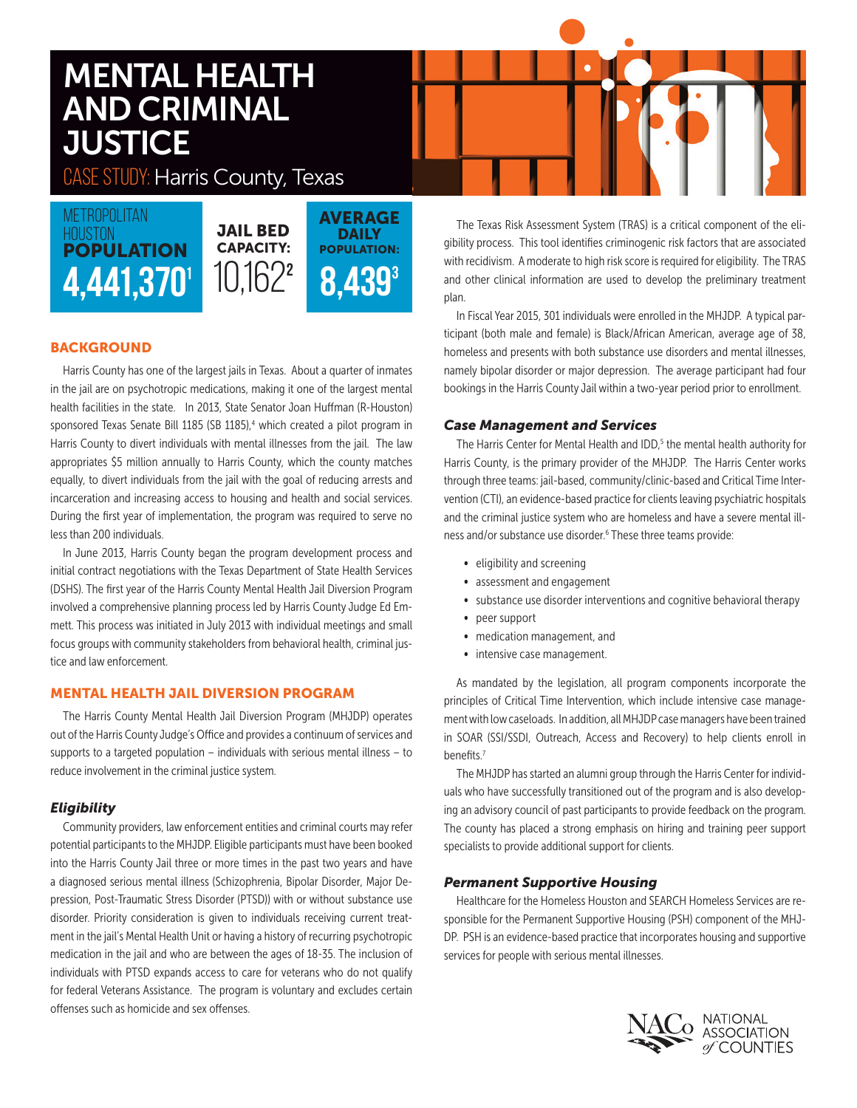# MENTAL HEALTH AND CRIMINAL **JUSTICE**

CASE STUDY: Harris County, Texas

4.441,370 POPULATION **METROPOLITAN HOUSTON** 

JAIL BED CAPACITY: **AVERAGE DAILY** POPULATION:  $8,439^3$ 10,1622

# **BACKGROUND**

Harris County has one of the largest jails in Texas. About a quarter of inmates in the jail are on psychotropic medications, making it one of the largest mental health facilities in the state. In 2013, State Senator Joan Huffman (R-Houston) sponsored Texas Senate Bill 1185 (SB 1185),<sup>4</sup> which created a pilot program in Harris County to divert individuals with mental illnesses from the jail. The law appropriates \$5 million annually to Harris County, which the county matches equally, to divert individuals from the jail with the goal of reducing arrests and incarceration and increasing access to housing and health and social services. During the first year of implementation, the program was required to serve no less than 200 individuals.

In June 2013, Harris County began the program development process and initial contract negotiations with the Texas Department of State Health Services (DSHS). The first year of the Harris County Mental Health Jail Diversion Program involved a comprehensive planning process led by Harris County Judge Ed Emmett. This process was initiated in July 2013 with individual meetings and small focus groups with community stakeholders from behavioral health, criminal justice and law enforcement.

# MENTAL HEALTH JAIL DIVERSION PROGRAM

The Harris County Mental Health Jail Diversion Program (MHJDP) operates out of the Harris County Judge's Office and provides a continuum of services and supports to a targeted population – individuals with serious mental illness – to reduce involvement in the criminal justice system.

## *Eligibility*

Community providers, law enforcement entities and criminal courts may refer potential participants to the MHJDP. Eligible participants must have been booked into the Harris County Jail three or more times in the past two years and have a diagnosed serious mental illness (Schizophrenia, Bipolar Disorder, Major Depression, Post-Traumatic Stress Disorder (PTSD)) with or without substance use disorder. Priority consideration is given to individuals receiving current treatment in the jail's Mental Health Unit or having a history of recurring psychotropic medication in the jail and who are between the ages of 18-35. The inclusion of individuals with PTSD expands access to care for veterans who do not qualify for federal Veterans Assistance. The program is voluntary and excludes certain offenses such as homicide and sex offenses.

The Texas Risk Assessment System (TRAS) is a critical component of the eligibility process. This tool identifies criminogenic risk factors that are associated with recidivism. A moderate to high risk score is required for eligibility. The TRAS and other clinical information are used to develop the preliminary treatment plan.

In Fiscal Year 2015, 301 individuals were enrolled in the MHJDP. A typical participant (both male and female) is Black/African American, average age of 38, homeless and presents with both substance use disorders and mental illnesses, namely bipolar disorder or major depression. The average participant had four bookings in the Harris County Jail within a two-year period prior to enrollment.

## *Case Management and Services*

The Harris Center for Mental Health and IDD,<sup>5</sup> the mental health authority for Harris County, is the primary provider of the MHJDP. The Harris Center works through three teams: jail-based, community/clinic-based and Critical Time Intervention (CTI), an evidence-based practice for clients leaving psychiatric hospitals and the criminal justice system who are homeless and have a severe mental illness and/or substance use disorder.<sup>6</sup> These three teams provide:

- eligibility and screening
- assessment and engagement
- substance use disorder interventions and cognitive behavioral therapy
- peer support
- medication management, and
- intensive case management.

As mandated by the legislation, all program components incorporate the principles of Critical Time Intervention, which include intensive case management with low caseloads. In addition, all MHJDP case managers have been trained in SOAR (SSI/SSDI, Outreach, Access and Recovery) to help clients enroll in benefits.7

The MHJDP has started an alumni group through the Harris Center for individuals who have successfully transitioned out of the program and is also developing an advisory council of past participants to provide feedback on the program. The county has placed a strong emphasis on hiring and training peer support specialists to provide additional support for clients.

## *Permanent Supportive Housing*

Healthcare for the Homeless Houston and SEARCH Homeless Services are responsible for the Permanent Supportive Housing (PSH) component of the MHJ-DP. PSH is an evidence-based practice that incorporates housing and supportive services for people with serious mental illnesses.